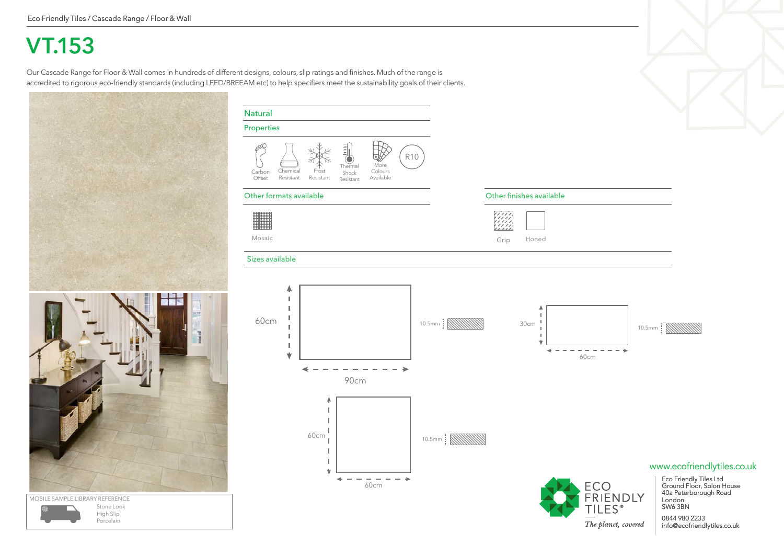## **VT.153**

Our Cascade Range for Floor & Wall comes in hundreds of different designs, colours, slip ratings and finishes. Much of the range is accredited to rigorous eco-friendly standards (including LEED/BREEAM etc) to help specifiers meet the sustainability goals of their clients.



| Properties              |                       |                    |                                                                                    |                              |            |                 |      |                                      |
|-------------------------|-----------------------|--------------------|------------------------------------------------------------------------------------|------------------------------|------------|-----------------|------|--------------------------------------|
| ∞<br>Carbon<br>Offset   | Chemical<br>Resistant | Frost<br>Resistant | $\begin{array}{c} \square \\ \square \end{array}$<br>Thermal<br>Shock<br>Resistant | More<br>Colours<br>Available | <b>R10</b> |                 |      |                                      |
| Other formats available |                       |                    |                                                                                    |                              |            |                 |      | Other finishes available             |
| Mosaic                  |                       |                    |                                                                                    |                              |            |                 | Grip | Honed                                |
| Sizes available         |                       |                    |                                                                                    |                              |            |                 |      |                                      |
| 60cm                    | J.                    |                    | 90cm                                                                               |                              |            |                 |      | ۸<br>т<br>J.<br>30cm<br>I.<br>I<br>Ŵ |
|                         |                       | 4<br>60cm          |                                                                                    | 60cm                         |            | 10.5mm   WWWWWW |      |                                      |



ECO<br>FRIENDLY<br>TILES®

The planet, covered

### www.ecofriendlytiles.co.uk

Eco Friendly Tiles Ltd Ground Floor, Solon House 40a Peterborough Road London SW6 3BN

0844 980 2233 info@ecofriendlytiles.co.uk